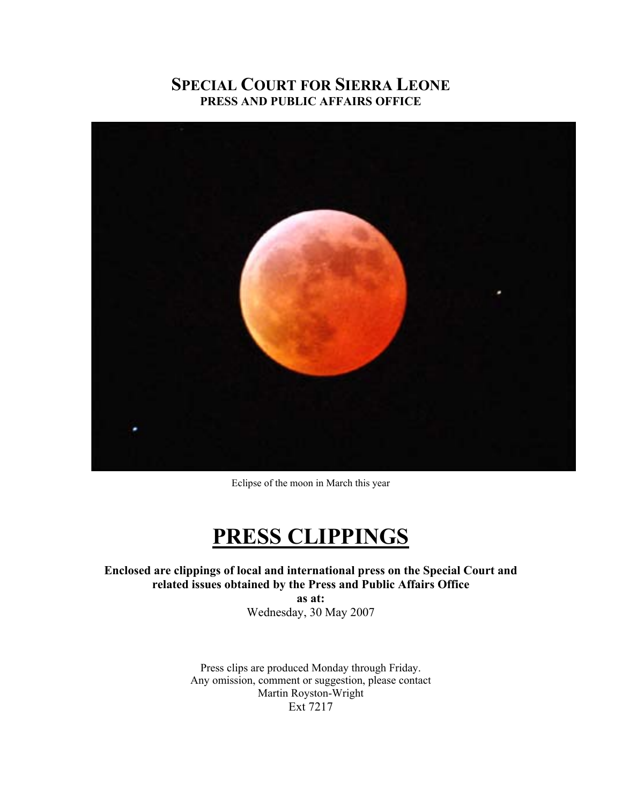#### **SPECIAL COURT FOR SIERRA LEONE PRESS AND PUBLIC AFFAIRS OFFICE**



Eclipse of the moon in March this year

## **PRESS CLIPPINGS**

**Enclosed are clippings of local and international press on the Special Court and related issues obtained by the Press and Public Affairs Office as at:** 

Wednesday, 30 May 2007

Press clips are produced Monday through Friday. Any omission, comment or suggestion, please contact Martin Royston-Wright Ext 7217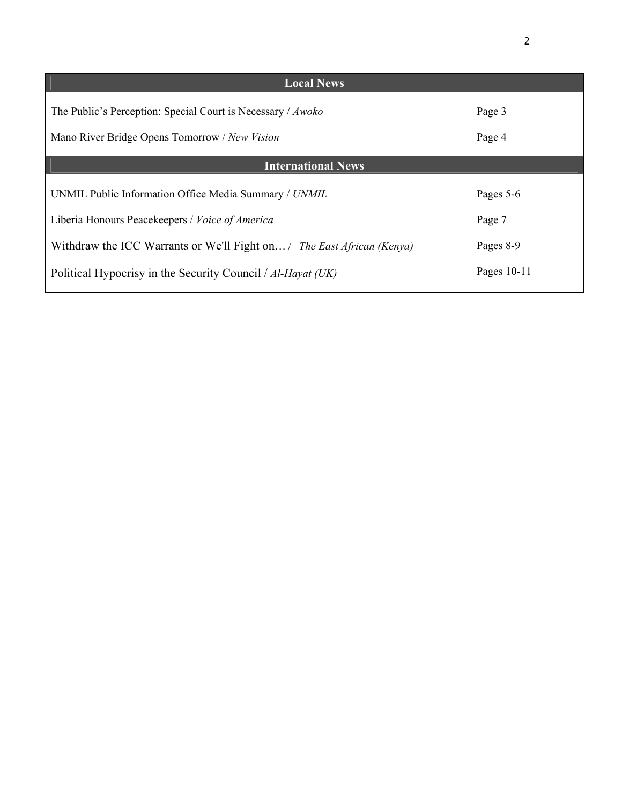| <b>Local News</b>                                                      |             |
|------------------------------------------------------------------------|-------------|
| The Public's Perception: Special Court is Necessary / Awoko            | Page 3      |
| Mano River Bridge Opens Tomorrow / New Vision                          | Page 4      |
| <b>International News</b>                                              |             |
| UNMIL Public Information Office Media Summary / UNMIL                  | Pages 5-6   |
| Liberia Honours Peacekeepers / Voice of America                        | Page 7      |
| Withdraw the ICC Warrants or We'll Fight on / The East African (Kenya) | Pages 8-9   |
| Political Hypocrisy in the Security Council / Al-Hayat (UK)            | Pages 10-11 |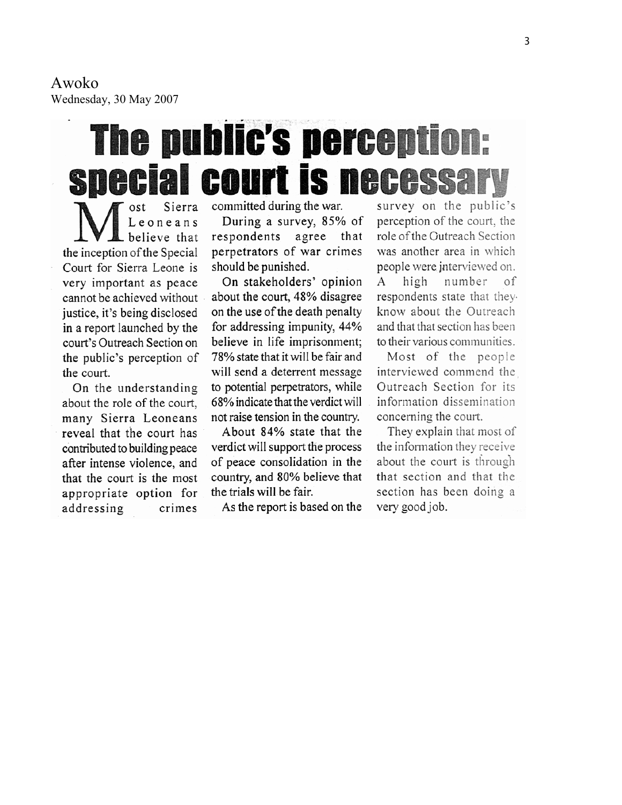Awoko Wednesday, 30 May 2007

# **The public's perception: special court is necessary**

Sierra Leoneans believe that the inception of the Special Court for Sierra Leone is very important as peace cannot be achieved without justice, it's being disclosed in a report launched by the court's Outreach Section on the public's perception of the court.

On the understanding about the role of the court, many Sierra Leoneans reveal that the court has contributed to building peace after intense violence, and that the court is the most appropriate option for addressing crimes committed during the war.

During a survey, 85% of respondents agree that perpetrators of war crimes should be punished.

On stakeholders' opinion about the court, 48% disagree on the use of the death penalty for addressing impunity, 44% believe in life imprisonment; 78% state that it will be fair and will send a deterrent message to potential perpetrators, while 68% indicate that the verdict will not raise tension in the country.

About 84% state that the verdict will support the process of peace consolidation in the country, and 80% believe that the trials will be fair.

As the report is based on the

survey on the public's perception of the court, the role of the Outreach Section was another area in which people were interviewed on. high number A οf respondents state that theyknow about the Outreach and that that section has been to their various communities.

Most of the people interviewed commend the Outreach Section for its information dissemination concerning the court.

They explain that most of the information they receive about the court is through that section and that the section has been doing a very good job.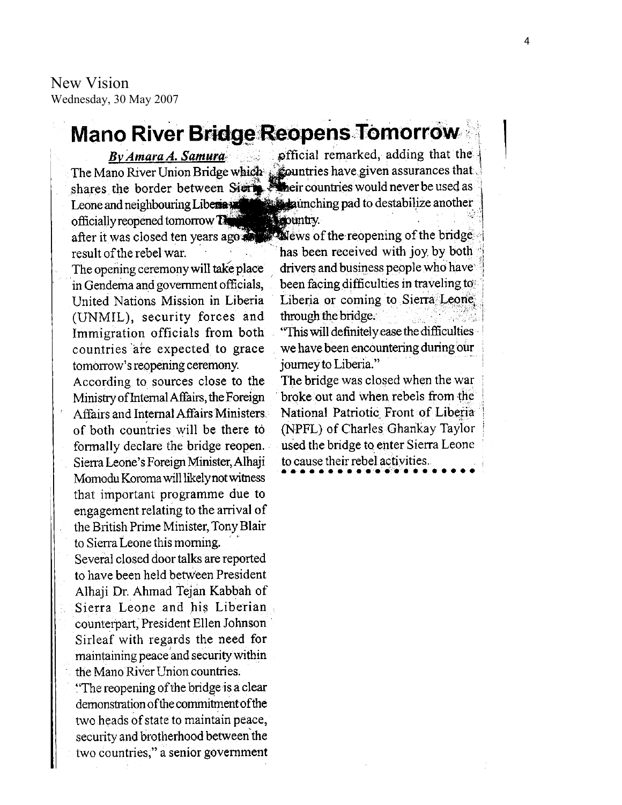New Vision Wednesday, 30 May 2007

### **Mano River Bridge Reopens Tomorrow**

By Amara A. Samura Leone and neighbouring Liberta officially reopened tomorrow The after it was closed ten years ago and result of the rebel war.

The opening ceremony will take place in Gendema and government officials, United Nations Mission in Liberia (UNMIL), security forces and Immigration officials from both countries are expected to grace tomorrow's reopening ceremony.

According to sources close to the Ministry of Internal Affairs, the Foreign Affairs and Internal Affairs Ministers of both countries will be there to formally declare the bridge reopen. Sierra Leone's Foreign Minister, Alhaji Momodu Koroma will likely not witness that important programme due to engagement relating to the arrival of the British Prime Minister, Tony Blair to Sierra Leone this morning.

Several closed door talks are reported to have been held between President Alhaji Dr. Ahmad Tejan Kabbah of Sierra Leone and his Liberian counterpart, President Ellen Johnson Sirleaf with regards the need for maintaining peace and security within the Mano River Union countries.

"The reopening of the bridge is a clear" demonstration of the commitment of the two heads of state to maintain peace, security and brotherhood between the two countries," a senior government

official remarked, adding that the The Mano River Union Bridge which countries have given assurances that shares the border between Sierre Meir countries would never be used as **Example 2** Equinching pad to destabilize another **Neountry** 

> $\mathbf$  we set the reopening of the bridge has been received with joy by both drivers and business people who have been facing difficulties in traveling to Liberia or coming to Sierra Leone through the bridge.

"This will definitely ease the difficulties we have been encountering during our journey to Liberia."

The bridge was closed when the war broke out and when rebels from the National Patriotic Front of Liberia (NPFL) of Charles Ghankay Taylor used the bridge to enter Sierra Leone to cause their rebel activities.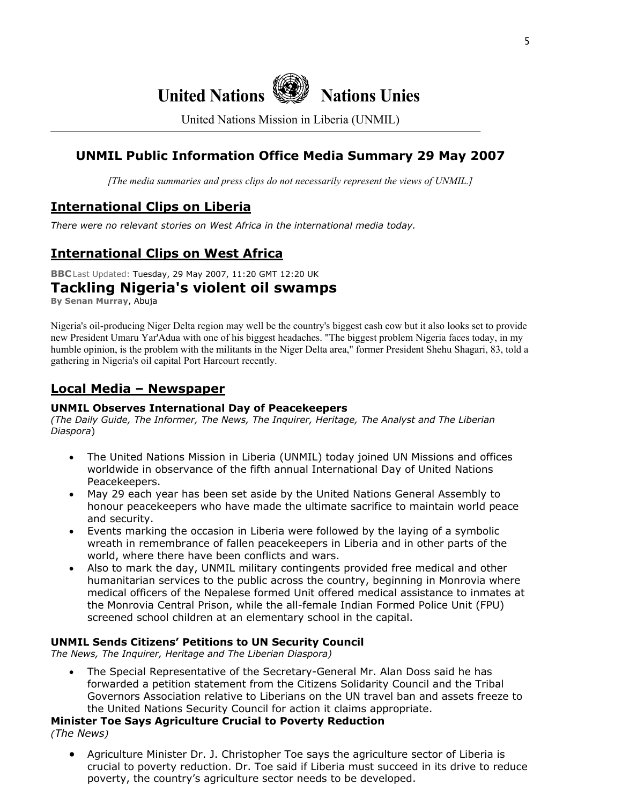## **United Nations Nations Unies**

United Nations Mission in Liberia (UNMIL)

#### **UNMIL Public Information Office Media Summary 29 May 2007**

*[The media summaries and press clips do not necessarily represent the views of UNMIL.]*

#### **International Clips on Liberia**

*There were no relevant stories on West Africa in the international media today.* 

#### **International Clips on West Africa**

**BBC** Last Updated: Tuesday, 29 May 2007, 11:20 GMT 12:20 UK

#### **Tackling Nigeria's violent oil swamps**

**By Senan Murray**, Abuja

Nigeria's oil-producing Niger Delta region may well be the country's biggest cash cow but it also looks set to provide new President Umaru Yar'Adua with one of his biggest headaches. "The biggest problem Nigeria faces today, in my humble opinion, is the problem with the militants in the Niger Delta area," former President Shehu Shagari, 83, told a gathering in Nigeria's oil capital Port Harcourt recently.

#### **Local Media – Newspaper**

#### **UNMIL Observes International Day of Peacekeepers**

*(The Daily Guide, The Informer, The News, The Inquirer, Heritage, The Analyst and The Liberian Diaspora*)

- The United Nations Mission in Liberia (UNMIL) today joined UN Missions and offices worldwide in observance of the fifth annual International Day of United Nations Peacekeepers.
- May 29 each year has been set aside by the United Nations General Assembly to honour peacekeepers who have made the ultimate sacrifice to maintain world peace and security.
- Events marking the occasion in Liberia were followed by the laying of a symbolic wreath in remembrance of fallen peacekeepers in Liberia and in other parts of the world, where there have been conflicts and wars.
- Also to mark the day, UNMIL military contingents provided free medical and other humanitarian services to the public across the country, beginning in Monrovia where medical officers of the Nepalese formed Unit offered medical assistance to inmates at the Monrovia Central Prison, while the all-female Indian Formed Police Unit (FPU) screened school children at an elementary school in the capital.

#### **UNMIL Sends Citizens' Petitions to UN Security Council**

*The News, The Inquirer, Heritage and The Liberian Diaspora)* 

• The Special Representative of the Secretary-General Mr. Alan Doss said he has forwarded a petition statement from the Citizens Solidarity Council and the Tribal Governors Association relative to Liberians on the UN travel ban and assets freeze to the United Nations Security Council for action it claims appropriate.

#### **Minister Toe Says Agriculture Crucial to Poverty Reduction**  *(The News)*

• Agriculture Minister Dr. J. Christopher Toe says the agriculture sector of Liberia is crucial to poverty reduction. Dr. Toe said if Liberia must succeed in its drive to reduce poverty, the country's agriculture sector needs to be developed.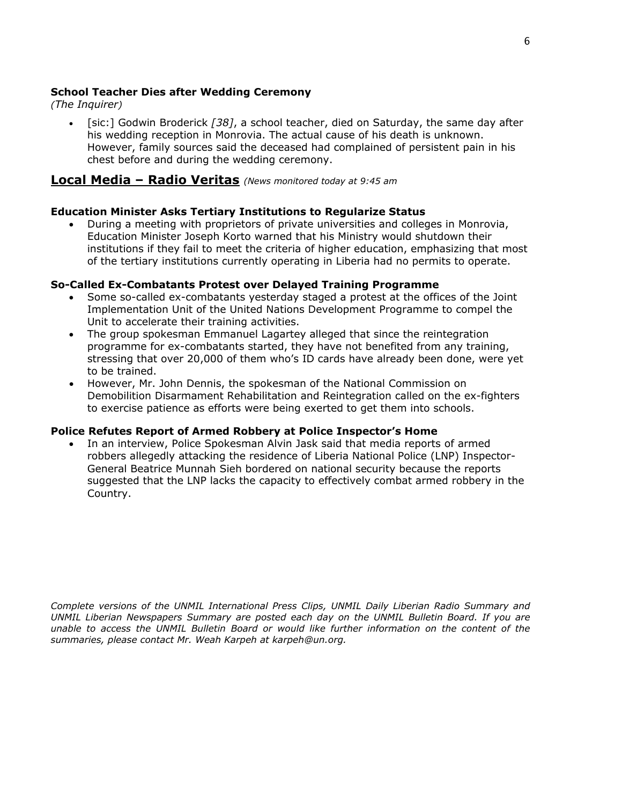#### **School Teacher Dies after Wedding Ceremony**

*(The Inquirer)* 

• [sic:] Godwin Broderick *[38]*, a school teacher, died on Saturday, the same day after his wedding reception in Monrovia. The actual cause of his death is unknown. However, family sources said the deceased had complained of persistent pain in his chest before and during the wedding ceremony.

#### **Local Media – Radio Veritas** *(News monitored today at 9:45 am*

#### **Education Minister Asks Tertiary Institutions to Regularize Status**

• During a meeting with proprietors of private universities and colleges in Monrovia, Education Minister Joseph Korto warned that his Ministry would shutdown their institutions if they fail to meet the criteria of higher education, emphasizing that most of the tertiary institutions currently operating in Liberia had no permits to operate.

#### **So-Called Ex-Combatants Protest over Delayed Training Programme**

- Some so-called ex-combatants yesterday staged a protest at the offices of the Joint Implementation Unit of the United Nations Development Programme to compel the Unit to accelerate their training activities.
- The group spokesman Emmanuel Lagartey alleged that since the reintegration programme for ex-combatants started, they have not benefited from any training, stressing that over 20,000 of them who's ID cards have already been done, were yet to be trained.
- However, Mr. John Dennis, the spokesman of the National Commission on Demobilition Disarmament Rehabilitation and Reintegration called on the ex-fighters to exercise patience as efforts were being exerted to get them into schools.

#### **Police Refutes Report of Armed Robbery at Police Inspector's Home**

• In an interview, Police Spokesman Alvin Jask said that media reports of armed robbers allegedly attacking the residence of Liberia National Police (LNP) Inspector-General Beatrice Munnah Sieh bordered on national security because the reports suggested that the LNP lacks the capacity to effectively combat armed robbery in the Country.

*Complete versions of the UNMIL International Press Clips, UNMIL Daily Liberian Radio Summary and UNMIL Liberian Newspapers Summary are posted each day on the UNMIL Bulletin Board. If you are unable to access the UNMIL Bulletin Board or would like further information on the content of the summaries, please contact Mr. Weah Karpeh at karpeh@un.org.*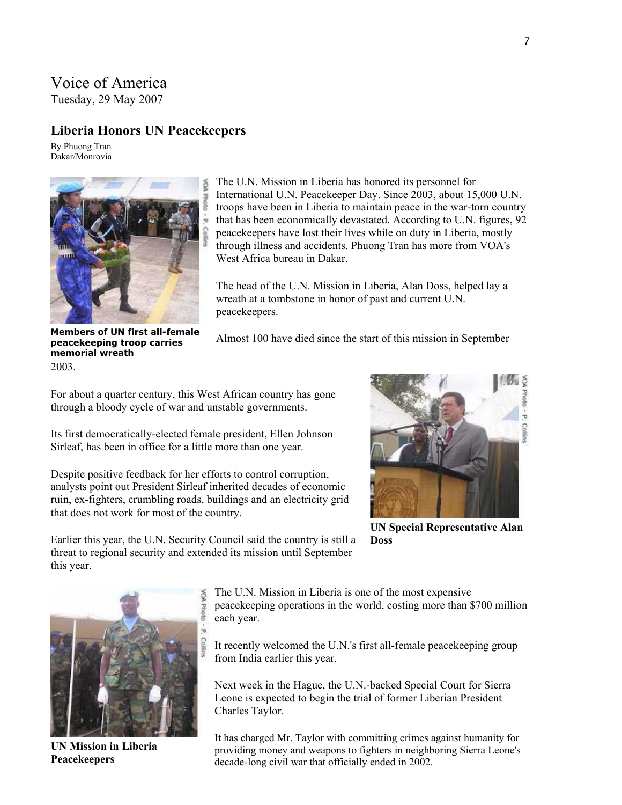#### Voice of America

Tuesday, 29 May 2007

#### **Liberia Honors UN Peacekeepers**

By Phuong Tran Dakar/Monrovia



2003. **Members of UN first all-female peacekeeping troop carries memorial wreath** 

The U.N. Mission in Liberia has honored its personnel for International U.N. Peacekeeper Day. Since 2003, about 15,000 U.N. troops have been in Liberia to maintain peace in the war-torn country that has been economically devastated. According to U.N. figures, 92 peacekeepers have lost their lives while on duty in Liberia, mostly through illness and accidents. Phuong Tran has more from VOA's West Africa bureau in Dakar.

The head of the U.N. Mission in Liberia, Alan Doss, helped lay a wreath at a tombstone in honor of past and current U.N. peacekeepers.

Almost 100 have died since the start of this mission in September

For about a quarter century, this West African country has gone through a bloody cycle of war and unstable governments.

Its first democratically-elected female president, Ellen Johnson Sirleaf, has been in office for a little more than one year.

Despite positive feedback for her efforts to control corruption, analysts point out President Sirleaf inherited decades of economic ruin, ex-fighters, crumbling roads, buildings and an electricity grid that does not work for most of the country.



**UN Special Representative Alan Doss** 

Earlier this year, the U.N. Security Council said the country is still a threat to regional security and extended its mission until September this year.



**UN Mission in Liberia Peacekeepers** 

The U.N. Mission in Liberia is one of the most expensive peacekeeping operations in the world, costing more than \$700 million each year.

It recently welcomed the U.N.'s first all-female peacekeeping group from India earlier this year.

Next week in the Hague, the U.N.-backed Special Court for Sierra Leone is expected to begin the trial of former Liberian President Charles Taylor.

It has charged Mr. Taylor with committing crimes against humanity for providing money and weapons to fighters in neighboring Sierra Leone's decade-long civil war that officially ended in 2002.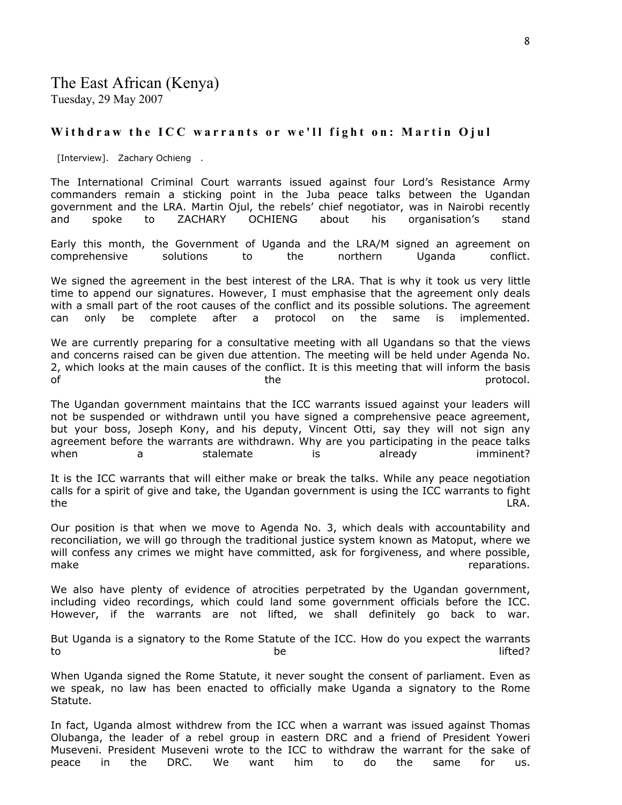#### **Withdraw the ICC warrants or we'll fight on: Martin Ojul**

[Interview]. Zachary Ochieng .

The International Criminal Court warrants issued against four Lord's Resistance Army commanders remain a sticking point in the Juba peace talks between the Ugandan government and the LRA. Martin Ojul, the rebels' chief negotiator, was in Nairobi recently and spoke to ZACHARY OCHIENG about his organisation's stand

Early this month, the Government of Uganda and the LRA/M signed an agreement on comprehensive solutions to the northern Uganda conflict.

We signed the agreement in the best interest of the LRA. That is why it took us very little time to append our signatures. However, I must emphasise that the agreement only deals with a small part of the root causes of the conflict and its possible solutions. The agreement can only be complete after a protocol on the same is implemented.

We are currently preparing for a consultative meeting with all Ugandans so that the views and concerns raised can be given due attention. The meeting will be held under Agenda No. 2, which looks at the main causes of the conflict. It is this meeting that will inform the basis of the protocol. The protocol of the protocol.

The Ugandan government maintains that the ICC warrants issued against your leaders will not be suspended or withdrawn until you have signed a comprehensive peace agreement, but your boss, Joseph Kony, and his deputy, Vincent Otti, say they will not sign any agreement before the warrants are withdrawn. Why are you participating in the peace talks when a a stalemate is already imminent?

It is the ICC warrants that will either make or break the talks. While any peace negotiation calls for a spirit of give and take, the Ugandan government is using the ICC warrants to fight the the contract of the contract of the contract of the contract of the contract of the contract of the contract of the contract of the contract of the contract of the contract of the contract of the contract of the contra

Our position is that when we move to Agenda No. 3, which deals with accountability and reconciliation, we will go through the traditional justice system known as Matoput, where we will confess any crimes we might have committed, ask for forgiveness, and where possible, make reparations.

We also have plenty of evidence of atrocities perpetrated by the Ugandan government, including video recordings, which could land some government officials before the ICC. However, if the warrants are not lifted, we shall definitely go back to war.

But Uganda is a signatory to the Rome Statute of the ICC. How do you expect the warrants to be lifted?

When Uganda signed the Rome Statute, it never sought the consent of parliament. Even as we speak, no law has been enacted to officially make Uganda a signatory to the Rome Statute.

In fact, Uganda almost withdrew from the ICC when a warrant was issued against Thomas Olubanga, the leader of a rebel group in eastern DRC and a friend of President Yoweri Museveni. President Museveni wrote to the ICC to withdraw the warrant for the sake of peace in the DRC. We want him to do the same for us.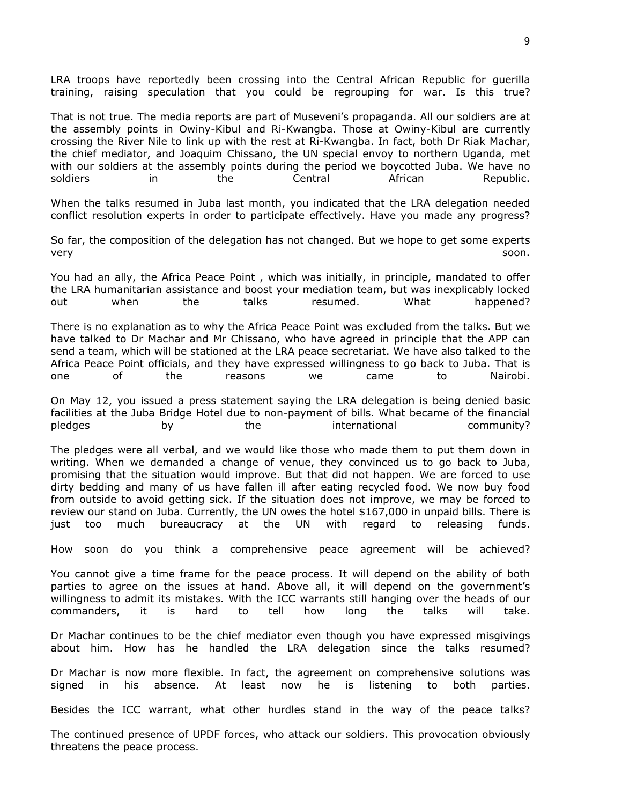LRA troops have reportedly been crossing into the Central African Republic for guerilla training, raising speculation that you could be regrouping for war. Is this true?

That is not true. The media reports are part of Museveni's propaganda. All our soldiers are at the assembly points in Owiny-Kibul and Ri-Kwangba. Those at Owiny-Kibul are currently crossing the River Nile to link up with the rest at Ri-Kwangba. In fact, both Dr Riak Machar, the chief mediator, and Joaquim Chissano, the UN special envoy to northern Uganda, met with our soldiers at the assembly points during the period we boycotted Juba. We have no soldiers in the Central African Republic.

When the talks resumed in Juba last month, you indicated that the LRA delegation needed conflict resolution experts in order to participate effectively. Have you made any progress?

So far, the composition of the delegation has not changed. But we hope to get some experts very soon. In the second contract of the second contract of the second second second second second second second

You had an ally, the Africa Peace Point , which was initially, in principle, mandated to offer the LRA humanitarian assistance and boost your mediation team, but was inexplicably locked out when the talks resumed. What happened?

There is no explanation as to why the Africa Peace Point was excluded from the talks. But we have talked to Dr Machar and Mr Chissano, who have agreed in principle that the APP can send a team, which will be stationed at the LRA peace secretariat. We have also talked to the Africa Peace Point officials, and they have expressed willingness to go back to Juba. That is one of the reasons we came to Nairobi.

On May 12, you issued a press statement saying the LRA delegation is being denied basic facilities at the Juba Bridge Hotel due to non-payment of bills. What became of the financial pledges by the international community?

The pledges were all verbal, and we would like those who made them to put them down in writing. When we demanded a change of venue, they convinced us to go back to Juba, promising that the situation would improve. But that did not happen. We are forced to use dirty bedding and many of us have fallen ill after eating recycled food. We now buy food from outside to avoid getting sick. If the situation does not improve, we may be forced to review our stand on Juba. Currently, the UN owes the hotel \$167,000 in unpaid bills. There is just too much bureaucracy at the UN with regard to releasing funds.

How soon do you think a comprehensive peace agreement will be achieved?

You cannot give a time frame for the peace process. It will depend on the ability of both parties to agree on the issues at hand. Above all, it will depend on the government's willingness to admit its mistakes. With the ICC warrants still hanging over the heads of our commanders, it is hard to tell how long the talks will take.

Dr Machar continues to be the chief mediator even though you have expressed misgivings about him. How has he handled the LRA delegation since the talks resumed?

Dr Machar is now more flexible. In fact, the agreement on comprehensive solutions was signed in his absence. At least now he is listening to both parties.

Besides the ICC warrant, what other hurdles stand in the way of the peace talks?

The continued presence of UPDF forces, who attack our soldiers. This provocation obviously threatens the peace process.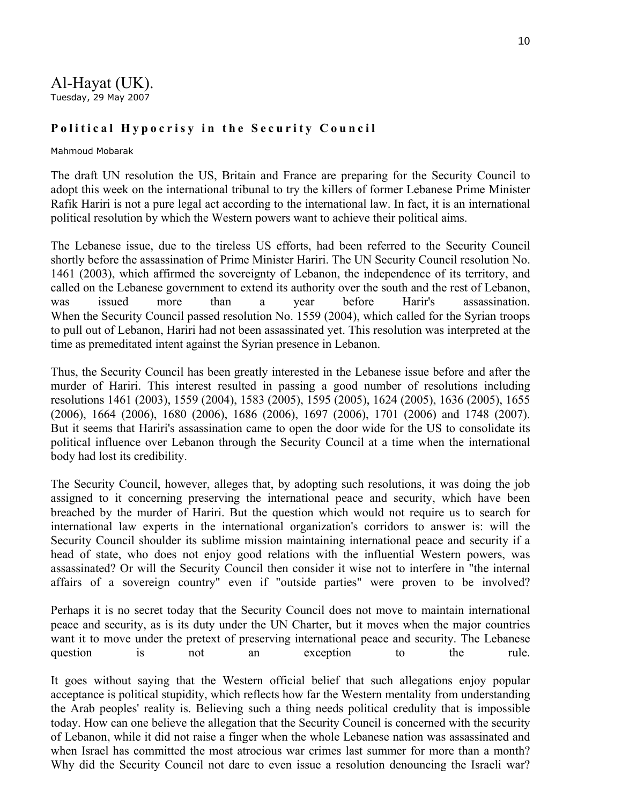Al-Hayat (UK). Tuesday, 29 May 2007

#### **Political Hypocrisy in the Security Council**

#### Mahmoud Mobarak

The draft UN resolution the US, Britain and France are preparing for the Security Council to adopt this week on the international tribunal to try the killers of former Lebanese Prime Minister Rafik Hariri is not a pure legal act according to the international law. In fact, it is an international political resolution by which the Western powers want to achieve their political aims.

The Lebanese issue, due to the tireless US efforts, had been referred to the Security Council shortly before the assassination of Prime Minister Hariri. The UN Security Council resolution No. 1461 (2003), which affirmed the sovereignty of Lebanon, the independence of its territory, and called on the Lebanese government to extend its authority over the south and the rest of Lebanon, was issued more than a year before Harir's assassination. When the Security Council passed resolution No. 1559 (2004), which called for the Syrian troops to pull out of Lebanon, Hariri had not been assassinated yet. This resolution was interpreted at the time as premeditated intent against the Syrian presence in Lebanon.

Thus, the Security Council has been greatly interested in the Lebanese issue before and after the murder of Hariri. This interest resulted in passing a good number of resolutions including resolutions 1461 (2003), 1559 (2004), 1583 (2005), 1595 (2005), 1624 (2005), 1636 (2005), 1655 (2006), 1664 (2006), 1680 (2006), 1686 (2006), 1697 (2006), 1701 (2006) and 1748 (2007). But it seems that Hariri's assassination came to open the door wide for the US to consolidate its political influence over Lebanon through the Security Council at a time when the international body had lost its credibility.

The Security Council, however, alleges that, by adopting such resolutions, it was doing the job assigned to it concerning preserving the international peace and security, which have been breached by the murder of Hariri. But the question which would not require us to search for international law experts in the international organization's corridors to answer is: will the Security Council shoulder its sublime mission maintaining international peace and security if a head of state, who does not enjoy good relations with the influential Western powers, was assassinated? Or will the Security Council then consider it wise not to interfere in "the internal affairs of a sovereign country" even if "outside parties" were proven to be involved?

Perhaps it is no secret today that the Security Council does not move to maintain international peace and security, as is its duty under the UN Charter, but it moves when the major countries want it to move under the pretext of preserving international peace and security. The Lebanese question is not an exception to the rule.

It goes without saying that the Western official belief that such allegations enjoy popular acceptance is political stupidity, which reflects how far the Western mentality from understanding the Arab peoples' reality is. Believing such a thing needs political credulity that is impossible today. How can one believe the allegation that the Security Council is concerned with the security of Lebanon, while it did not raise a finger when the whole Lebanese nation was assassinated and when Israel has committed the most atrocious war crimes last summer for more than a month? Why did the Security Council not dare to even issue a resolution denouncing the Israeli war?